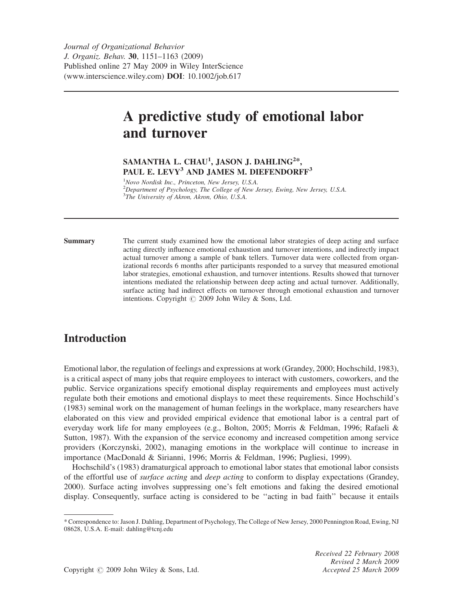Journal of Organizational Behavior J. Organiz. Behav. 30, 1151–1163 (2009) Published online 27 May 2009 in Wiley InterScience (www.interscience.wiley.com) DOI: 10.1002/job.617

# A predictive study of emotional labor and turnover

# SAMANTHA L. CHAU $^1$ , JASON J. DAHLING $^{2*},$ PAUL E. LEVY<sup>3</sup> AND JAMES M. DIEFENDORFF<sup>3</sup>

<sup>1</sup>Novo Nordisk Inc., Princeton, New Jersey, U.S.A. <sup>2</sup>Department of Psychology, The College of New Jersey, Ewing, New Jersey, U.S.A. <sup>3</sup>The University of Akron, Akron, Ohio, U.S.A.

Summary The current study examined how the emotional labor strategies of deep acting and surface acting directly influence emotional exhaustion and turnover intentions, and indirectly impact actual turnover among a sample of bank tellers. Turnover data were collected from organizational records 6 months after participants responded to a survey that measured emotional labor strategies, emotional exhaustion, and turnover intentions. Results showed that turnover intentions mediated the relationship between deep acting and actual turnover. Additionally, surface acting had indirect effects on turnover through emotional exhaustion and turnover intentions. Copyright  $\odot$  2009 John Wiley & Sons, Ltd.

# Introduction

Emotional labor, the regulation of feelings and expressions at work (Grandey, 2000; Hochschild, 1983), is a critical aspect of many jobs that require employees to interact with customers, coworkers, and the public. Service organizations specify emotional display requirements and employees must actively regulate both their emotions and emotional displays to meet these requirements. Since Hochschild's (1983) seminal work on the management of human feelings in the workplace, many researchers have elaborated on this view and provided empirical evidence that emotional labor is a central part of everyday work life for many employees (e.g., Bolton, 2005; Morris & Feldman, 1996; Rafaeli & Sutton, 1987). With the expansion of the service economy and increased competition among service providers (Korczynski, 2002), managing emotions in the workplace will continue to increase in importance (MacDonald & Sirianni, 1996; Morris & Feldman, 1996; Pugliesi, 1999).

Hochschild's (1983) dramaturgical approach to emotional labor states that emotional labor consists of the effortful use of surface acting and deep acting to conform to display expectations (Grandey, 2000). Surface acting involves suppressing one's felt emotions and faking the desired emotional display. Consequently, surface acting is considered to be ''acting in bad faith'' because it entails

<sup>\*</sup> Correspondence to: Jason J. Dahling, Department of Psychology, The College of New Jersey, 2000 Pennington Road, Ewing, NJ 08628, U.S.A. E-mail: dahling@tcnj.edu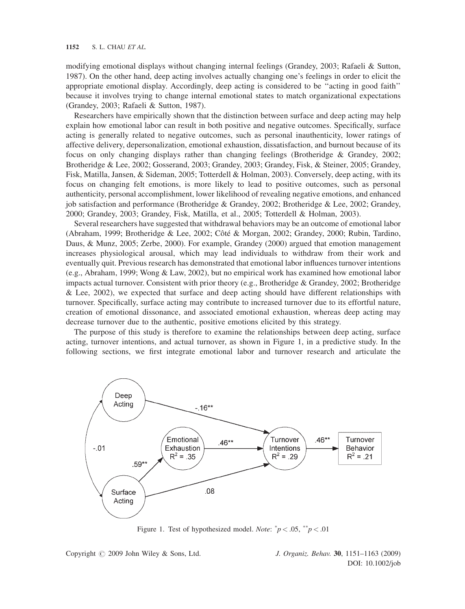modifying emotional displays without changing internal feelings (Grandey, 2003; Rafaeli & Sutton, 1987). On the other hand, deep acting involves actually changing one's feelings in order to elicit the appropriate emotional display. Accordingly, deep acting is considered to be ''acting in good faith'' because it involves trying to change internal emotional states to match organizational expectations (Grandey, 2003; Rafaeli & Sutton, 1987).

Researchers have empirically shown that the distinction between surface and deep acting may help explain how emotional labor can result in both positive and negative outcomes. Specifically, surface acting is generally related to negative outcomes, such as personal inauthenticity, lower ratings of affective delivery, depersonalization, emotional exhaustion, dissatisfaction, and burnout because of its focus on only changing displays rather than changing feelings (Brotheridge & Grandey, 2002; Brotheridge & Lee, 2002; Gosserand, 2003; Grandey, 2003; Grandey, Fisk, & Steiner, 2005; Grandey, Fisk, Matilla, Jansen, & Sideman, 2005; Totterdell & Holman, 2003). Conversely, deep acting, with its focus on changing felt emotions, is more likely to lead to positive outcomes, such as personal authenticity, personal accomplishment, lower likelihood of revealing negative emotions, and enhanced job satisfaction and performance (Brotheridge & Grandey, 2002; Brotheridge & Lee, 2002; Grandey, 2000; Grandey, 2003; Grandey, Fisk, Matilla, et al., 2005; Totterdell & Holman, 2003).

Several researchers have suggested that withdrawal behaviors may be an outcome of emotional labor (Abraham, 1999; Brotheridge & Lee, 2002; Côté & Morgan, 2002; Grandey, 2000; Rubin, Tardino, Daus, & Munz, 2005; Zerbe, 2000). For example, Grandey (2000) argued that emotion management increases physiological arousal, which may lead individuals to withdraw from their work and eventually quit. Previous research has demonstrated that emotional labor influences turnover intentions (e.g., Abraham, 1999; Wong & Law, 2002), but no empirical work has examined how emotional labor impacts actual turnover. Consistent with prior theory (e.g., Brotheridge & Grandey, 2002; Brotheridge & Lee, 2002), we expected that surface and deep acting should have different relationships with turnover. Specifically, surface acting may contribute to increased turnover due to its effortful nature, creation of emotional dissonance, and associated emotional exhaustion, whereas deep acting may decrease turnover due to the authentic, positive emotions elicited by this strategy.

The purpose of this study is therefore to examine the relationships between deep acting, surface acting, turnover intentions, and actual turnover, as shown in Figure 1, in a predictive study. In the following sections, we first integrate emotional labor and turnover research and articulate the



Figure 1. Test of hypothesized model. *Note*:  $^{*}p < .05$ ,  $^{*}p < .01$ 

Copyright  $\odot$  2009 John Wiley & Sons, Ltd. J. Organiz. Behav. 30, 1151–1163 (2009)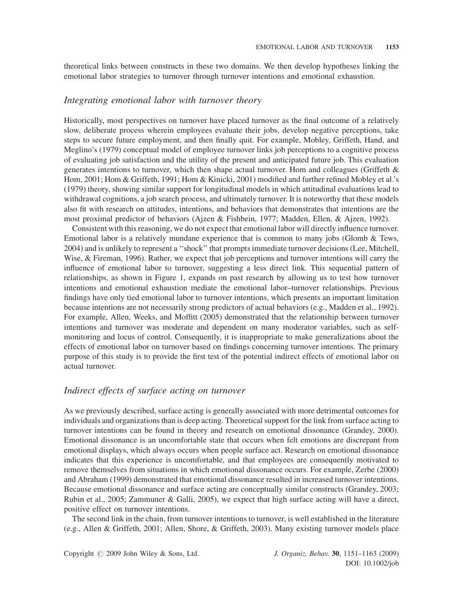theoretical links between constructs in these two domains. We then develop hypotheses linking the emotional labor strategies to turnover through turnover intentions and emotional exhaustion.

### Integrating emotional labor with turnover theory

Historically, most perspectives on turnover have placed turnover as the final outcome of a relatively slow, deliberate process wherein employees evaluate their jobs, develop negative perceptions, take steps to secure future employment, and then finally quit. For example, Mobley, Griffeth, Hand, and Meglino's (1979) conceptual model of employee turnover links job perceptions to a cognitive process of evaluating job satisfaction and the utility of the present and anticipated future job. This evaluation generates intentions to turnover, which then shape actual turnover. Hom and colleagues (Griffeth & Hom, 2001; Hom & Griffeth, 1991; Hom & Kinicki, 2001) modified and further refined Mobley et al.'s (1979) theory, showing similar support for longitudinal models in which attitudinal evaluations lead to withdrawal cognitions, a job search process, and ultimately turnover. It is noteworthy that these models also fit with research on attitudes, intentions, and behaviors that demonstrates that intentions are the most proximal predictor of behaviors (Ajzen & Fishbein, 1977; Madden, Ellen, & Ajzen, 1992).

Consistent with this reasoning, we do not expect that emotional labor will directly influence turnover. Emotional labor is a relatively mundane experience that is common to many jobs (Glomb & Tews, 2004) and is unlikely to represent a ''shock'' that prompts immediate turnover decisions (Lee, Mitchell, Wise, & Fireman, 1996). Rather, we expect that job perceptions and turnover intentions will carry the influence of emotional labor to turnover, suggesting a less direct link. This sequential pattern of relationships, as shown in Figure 1, expands on past research by allowing us to test how turnover intentions and emotional exhaustion mediate the emotional labor–turnover relationships. Previous findings have only tied emotional labor to turnover intentions, which presents an important limitation because intentions are not necessarily strong predictors of actual behaviors (e.g., Madden et al., 1992). For example, Allen, Weeks, and Moffitt (2005) demonstrated that the relationship between turnover intentions and turnover was moderate and dependent on many moderator variables, such as selfmonitoring and locus of control. Consequently, it is inappropriate to make generalizations about the effects of emotional labor on turnover based on findings concerning turnover intentions. The primary purpose of this study is to provide the first test of the potential indirect effects of emotional labor on actual turnover.

# Indirect effects of surface acting on turnover

As we previously described, surface acting is generally associated with more detrimental outcomes for individuals and organizations than is deep acting. Theoretical support for the link from surface acting to turnover intentions can be found in theory and research on emotional dissonance (Grandey, 2000). Emotional dissonance is an uncomfortable state that occurs when felt emotions are discrepant from emotional displays, which always occurs when people surface act. Research on emotional dissonance indicates that this experience is uncomfortable, and that employees are consequently motivated to remove themselves from situations in which emotional dissonance occurs. For example, Zerbe (2000) and Abraham (1999) demonstrated that emotional dissonance resulted in increased turnover intentions. Because emotional dissonance and surface acting are conceptually similar constructs (Grandey, 2003; Rubin et al., 2005; Zammuner & Galli, 2005), we expect that high surface acting will have a direct, positive effect on turnover intentions.

The second link in the chain, from turnover intentions to turnover, is well established in the literature (e.g., Allen & Griffeth, 2001; Allen, Shore, & Griffeth, 2003). Many existing turnover models place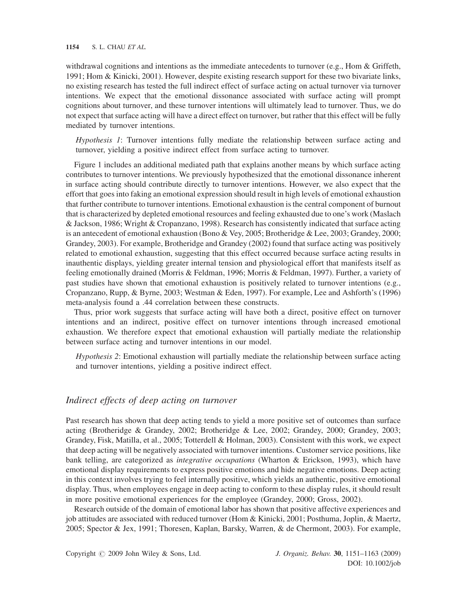#### 1154 S. L. CHAU ET AL.

withdrawal cognitions and intentions as the immediate antecedents to turnover (e.g., Hom & Griffeth, 1991; Hom & Kinicki, 2001). However, despite existing research support for these two bivariate links, no existing research has tested the full indirect effect of surface acting on actual turnover via turnover intentions. We expect that the emotional dissonance associated with surface acting will prompt cognitions about turnover, and these turnover intentions will ultimately lead to turnover. Thus, we do not expect that surface acting will have a direct effect on turnover, but rather that this effect will be fully mediated by turnover intentions.

Hypothesis 1: Turnover intentions fully mediate the relationship between surface acting and turnover, yielding a positive indirect effect from surface acting to turnover.

Figure 1 includes an additional mediated path that explains another means by which surface acting contributes to turnover intentions. We previously hypothesized that the emotional dissonance inherent in surface acting should contribute directly to turnover intentions. However, we also expect that the effort that goes into faking an emotional expression should result in high levels of emotional exhaustion that further contribute to turnover intentions. Emotional exhaustion is the central component of burnout that is characterized by depleted emotional resources and feeling exhausted due to one's work (Maslach & Jackson, 1986; Wright & Cropanzano, 1998). Research has consistently indicated that surface acting is an antecedent of emotional exhaustion (Bono & Vey, 2005; Brotheridge & Lee, 2003; Grandey, 2000; Grandey, 2003). For example, Brotheridge and Grandey (2002) found that surface acting was positively related to emotional exhaustion, suggesting that this effect occurred because surface acting results in inauthentic displays, yielding greater internal tension and physiological effort that manifests itself as feeling emotionally drained (Morris & Feldman, 1996; Morris & Feldman, 1997). Further, a variety of past studies have shown that emotional exhaustion is positively related to turnover intentions (e.g., Cropanzano, Rupp, & Byrne, 2003; Westman & Eden, 1997). For example, Lee and Ashforth's (1996) meta-analysis found a .44 correlation between these constructs.

Thus, prior work suggests that surface acting will have both a direct, positive effect on turnover intentions and an indirect, positive effect on turnover intentions through increased emotional exhaustion. We therefore expect that emotional exhaustion will partially mediate the relationship between surface acting and turnover intentions in our model.

Hypothesis 2: Emotional exhaustion will partially mediate the relationship between surface acting and turnover intentions, yielding a positive indirect effect.

## Indirect effects of deep acting on turnover

Past research has shown that deep acting tends to yield a more positive set of outcomes than surface acting (Brotheridge & Grandey, 2002; Brotheridge & Lee, 2002; Grandey, 2000; Grandey, 2003; Grandey, Fisk, Matilla, et al., 2005; Totterdell & Holman, 2003). Consistent with this work, we expect that deep acting will be negatively associated with turnover intentions. Customer service positions, like bank telling, are categorized as *integrative occupations* (Wharton & Erickson, 1993), which have emotional display requirements to express positive emotions and hide negative emotions. Deep acting in this context involves trying to feel internally positive, which yields an authentic, positive emotional display. Thus, when employees engage in deep acting to conform to these display rules, it should result in more positive emotional experiences for the employee (Grandey, 2000; Gross, 2002).

Research outside of the domain of emotional labor has shown that positive affective experiences and job attitudes are associated with reduced turnover (Hom & Kinicki, 2001; Posthuma, Joplin, & Maertz, 2005; Spector & Jex, 1991; Thoresen, Kaplan, Barsky, Warren, & de Chermont, 2003). For example,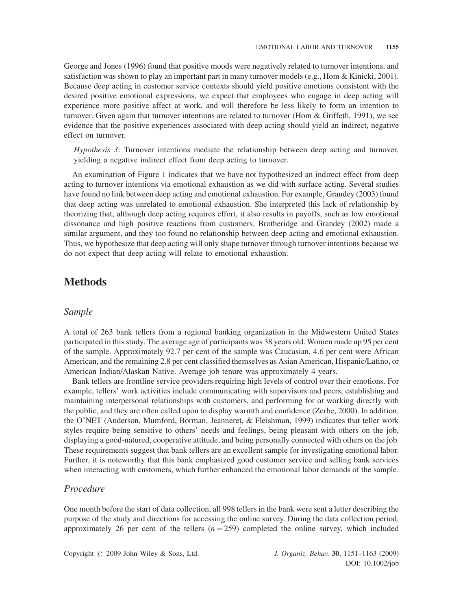George and Jones (1996) found that positive moods were negatively related to turnover intentions, and satisfaction was shown to play an important part in many turnover models (e.g., Hom & Kinicki, 2001). Because deep acting in customer service contexts should yield positive emotions consistent with the desired positive emotional expressions, we expect that employees who engage in deep acting will experience more positive affect at work, and will therefore be less likely to form an intention to turnover. Given again that turnover intentions are related to turnover (Hom & Griffeth, 1991), we see evidence that the positive experiences associated with deep acting should yield an indirect, negative effect on turnover.

Hypothesis 3: Turnover intentions mediate the relationship between deep acting and turnover, yielding a negative indirect effect from deep acting to turnover.

An examination of Figure 1 indicates that we have not hypothesized an indirect effect from deep acting to turnover intentions via emotional exhaustion as we did with surface acting. Several studies have found no link between deep acting and emotional exhaustion. For example, Grandey (2003) found that deep acting was unrelated to emotional exhaustion. She interpreted this lack of relationship by theorizing that, although deep acting requires effort, it also results in payoffs, such as low emotional dissonance and high positive reactions from customers. Brotheridge and Grandey (2002) made a similar argument, and they too found no relationship between deep acting and emotional exhaustion. Thus, we hypothesize that deep acting will only shape turnover through turnover intentions because we do not expect that deep acting will relate to emotional exhaustion.

# Methods

#### Sample

A total of 263 bank tellers from a regional banking organization in the Midwestern United States participated in this study. The average age of participants was 38 years old. Women made up 95 per cent of the sample. Approximately 92.7 per cent of the sample was Caucasian, 4.6 per cent were African American, and the remaining 2.8 per cent classified themselves as Asian American, Hispanic/Latino, or American Indian/Alaskan Native. Average job tenure was approximately 4 years.

Bank tellers are frontline service providers requiring high levels of control over their emotions. For example, tellers' work activities include communicating with supervisors and peers, establishing and maintaining interpersonal relationships with customers, and performing for or working directly with the public, and they are often called upon to display warmth and confidence (Zerbe, 2000). In addition, the O NET (Anderson, Mumford, Borman, Jeanneret, & Fleishman, 1999) indicates that teller work styles require being sensitive to others' needs and feelings, being pleasant with others on the job, displaying a good-natured, cooperative attitude, and being personally connected with others on the job. These requirements suggest that bank tellers are an excellent sample for investigating emotional labor. Further, it is noteworthy that this bank emphasized good customer service and selling bank services when interacting with customers, which further enhanced the emotional labor demands of the sample.

### Procedure

One month before the start of data collection, all 998 tellers in the bank were sent a letter describing the purpose of the study and directions for accessing the online survey. During the data collection period, approximately 26 per cent of the tellers  $(n = 259)$  completed the online survey, which included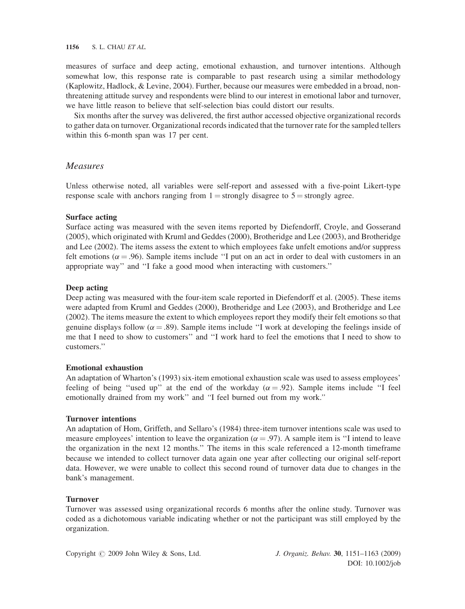measures of surface and deep acting, emotional exhaustion, and turnover intentions. Although somewhat low, this response rate is comparable to past research using a similar methodology (Kaplowitz, Hadlock, & Levine, 2004). Further, because our measures were embedded in a broad, nonthreatening attitude survey and respondents were blind to our interest in emotional labor and turnover, we have little reason to believe that self-selection bias could distort our results.

Six months after the survey was delivered, the first author accessed objective organizational records to gather data on turnover. Organizational records indicated that the turnover rate for the sampled tellers within this 6-month span was 17 per cent.

### Measures

Unless otherwise noted, all variables were self-report and assessed with a five-point Likert-type response scale with anchors ranging from  $1 =$  strongly disagree to  $5 =$  strongly agree.

#### Surface acting

Surface acting was measured with the seven items reported by Diefendorff, Croyle, and Gosserand (2005), which originated with Kruml and Geddes (2000), Brotheridge and Lee (2003), and Brotheridge and Lee (2002). The items assess the extent to which employees fake unfelt emotions and/or suppress felt emotions ( $\alpha = .96$ ). Sample items include "I put on an act in order to deal with customers in an appropriate way'' and ''I fake a good mood when interacting with customers.''

#### Deep acting

Deep acting was measured with the four-item scale reported in Diefendorff et al. (2005). These items were adapted from Kruml and Geddes (2000), Brotheridge and Lee (2003), and Brotheridge and Lee (2002). The items measure the extent to which employees report they modify their felt emotions so that genuine displays follow ( $\alpha = .89$ ). Sample items include "I work at developing the feelings inside of me that I need to show to customers'' and ''I work hard to feel the emotions that I need to show to customers.''

#### Emotional exhaustion

An adaptation of Wharton's (1993) six-item emotional exhaustion scale was used to assess employees' feeling of being "used up" at the end of the workday ( $\alpha = .92$ ). Sample items include "I feel emotionally drained from my work'' and ''I feel burned out from my work.''

#### Turnover intentions

An adaptation of Hom, Griffeth, and Sellaro's (1984) three-item turnover intentions scale was used to measure employees' intention to leave the organization ( $\alpha = .97$ ). A sample item is "I intend to leave the organization in the next 12 months.'' The items in this scale referenced a 12-month timeframe because we intended to collect turnover data again one year after collecting our original self-report data. However, we were unable to collect this second round of turnover data due to changes in the bank's management.

### Turnover

Turnover was assessed using organizational records 6 months after the online study. Turnover was coded as a dichotomous variable indicating whether or not the participant was still employed by the organization.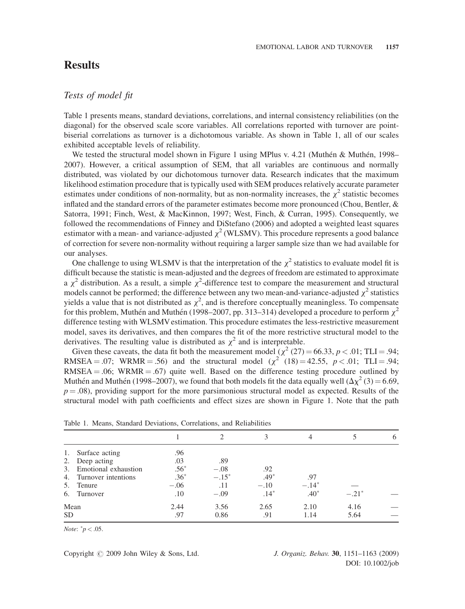# **Results**

# Tests of model fit

Table 1 presents means, standard deviations, correlations, and internal consistency reliabilities (on the diagonal) for the observed scale score variables. All correlations reported with turnover are pointbiserial correlations as turnover is a dichotomous variable. As shown in Table 1, all of our scales exhibited acceptable levels of reliability.

We tested the structural model shown in Figure 1 using MPlus v. 4.21 (Muthén & Muthén, 1998– 2007). However, a critical assumption of SEM, that all variables are continuous and normally distributed, was violated by our dichotomous turnover data. Research indicates that the maximum likelihood estimation procedure that is typically used with SEM produces relatively accurate parameter estimates under conditions of non-normality, but as non-normality increases, the  $\chi^2$  statistic becomes inflated and the standard errors of the parameter estimates become more pronounced (Chou, Bentler, & Satorra, 1991; Finch, West, & MacKinnon, 1997; West, Finch, & Curran, 1995). Consequently, we followed the recommendations of Finney and DiStefano (2006) and adopted a weighted least squares estimator with a mean- and variance-adjusted  $\chi^2$  (WLSMV). This procedure represents a good balance of correction for severe non-normality without requiring a larger sample size than we had available for our analyses.

One challenge to using WLSMV is that the interpretation of the  $\chi^2$  statistics to evaluate model fit is difficult because the statistic is mean-adjusted and the degrees of freedom are estimated to approximate  $\alpha \chi^2$  distribution. As a result, a simple  $\chi^2$ -difference test to compare the measurement and structural models cannot be performed: the difference between any two mean-and-variance-adjusted  $\chi^2$  statistics models cannot be performed; the difference between any two mean-and-variance-adjusted  $\chi^2$  statistics yields a value that is not distributed as  $\chi^2$ , and is therefore conceptually meaningless. To compensate for this problem Muthén and Muthén (1998–2007, pp. 313–314) developed a procedure to perform  $\chi^2$ for this problem, Muthén and Muthén (1998–2007, pp. 313–314) developed a procedure to perform  $\chi^2$ difference testing with WLSMV estimation. This procedure estimates the less-restrictive measurement model, saves its derivatives, and then compares the fit of the more restrictive structural model to the derivatives. The resulting value is distributed as  $\chi^2$  and is interpretable.

Given these caveats, the data fit both the measurement model  $\chi^2$  (27) = 66.33, p < .01; TLI = .94; RMSEA = .07; WRMR = .56) and the structural model  $(\chi^2 (18) = 42.55, p < .01; TLI = .94;$  $RMSEA = .06$ ;  $WRMR = .67$ ) quite well. Based on the difference testing procedure outlined by Muthén and Muthén (1998–2007), we found that both models fit the data equally well  $(\Delta \chi^2 (3) = 6.69)$ ,  $p = .08$ ), providing support for the more parsimonious structural model as expected. Results of the structural model with path coefficients and effect sizes are shown in Figure 1. Note that the path

|           |                         |        |         |        | 4       |         | 6 |
|-----------|-------------------------|--------|---------|--------|---------|---------|---|
| 1.        | Surface acting          | .96    |         |        |         |         |   |
|           | 2. Deep acting          | .03    | .89     |        |         |         |   |
|           | 3. Emotional exhaustion | $.56*$ | $-.08$  | .92    |         |         |   |
|           | 4. Turnover intentions  | $.36*$ | $-.15*$ | $.49*$ | .97     |         |   |
|           | 5. Tenure               | $-.06$ | .11     | $-.10$ | $-.14*$ |         |   |
| 6.        | Turnover                | .10    | $-.09$  | $.14*$ | $.40*$  | $-.21*$ |   |
| Mean      |                         | 2.44   | 3.56    | 2.65   | 2.10    | 4.16    |   |
| <b>SD</b> |                         | .97    | 0.86    | .91    | 1.14    | 5.64    |   |

Table 1. Means, Standard Deviations, Correlations, and Reliabilities

*Note*:  $\degree p < .05$ .

Copyright  $\odot$  2009 John Wiley & Sons, Ltd. J. Organiz. Behav. 30, 1151–1163 (2009)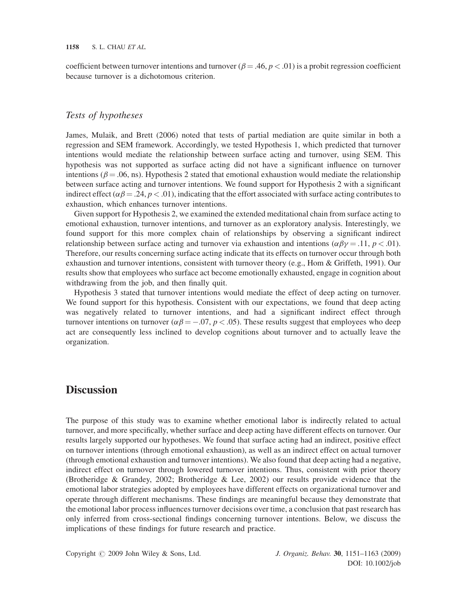coefficient between turnover intentions and turnover ( $\beta = .46$ ,  $p < .01$ ) is a probit regression coefficient because turnover is a dichotomous criterion.

# Tests of hypotheses

James, Mulaik, and Brett (2006) noted that tests of partial mediation are quite similar in both a regression and SEM framework. Accordingly, we tested Hypothesis 1, which predicted that turnover intentions would mediate the relationship between surface acting and turnover, using SEM. This hypothesis was not supported as surface acting did not have a significant influence on turnover intentions ( $\beta = .06$ , ns). Hypothesis 2 stated that emotional exhaustion would mediate the relationship between surface acting and turnover intentions. We found support for Hypothesis 2 with a significant indirect effect ( $\alpha\beta = .24$ ,  $p < .01$ ), indicating that the effort associated with surface acting contributes to exhaustion, which enhances turnover intentions.

Given support for Hypothesis 2, we examined the extended meditational chain from surface acting to emotional exhaustion, turnover intentions, and turnover as an exploratory analysis. Interestingly, we found support for this more complex chain of relationships by observing a significant indirect relationship between surface acting and turnover via exhaustion and intentions ( $\alpha \beta \gamma = .11$ ,  $p < .01$ ). Therefore, our results concerning surface acting indicate that its effects on turnover occur through both exhaustion and turnover intentions, consistent with turnover theory (e.g., Hom & Griffeth, 1991). Our results show that employees who surface act become emotionally exhausted, engage in cognition about withdrawing from the job, and then finally quit.

Hypothesis 3 stated that turnover intentions would mediate the effect of deep acting on turnover. We found support for this hypothesis. Consistent with our expectations, we found that deep acting was negatively related to turnover intentions, and had a significant indirect effect through turnover intentions on turnover  $(\alpha \beta = -.07, p < .05)$ . These results suggest that employees who deep<br>act are consequently less inclined to develop cognitions about turnover and to actually leave the act are consequently less inclined to develop cognitions about turnover and to actually leave the organization.

# **Discussion**

The purpose of this study was to examine whether emotional labor is indirectly related to actual turnover, and more specifically, whether surface and deep acting have different effects on turnover. Our results largely supported our hypotheses. We found that surface acting had an indirect, positive effect on turnover intentions (through emotional exhaustion), as well as an indirect effect on actual turnover (through emotional exhaustion and turnover intentions). We also found that deep acting had a negative, indirect effect on turnover through lowered turnover intentions. Thus, consistent with prior theory (Brotheridge & Grandey, 2002; Brotheridge & Lee, 2002) our results provide evidence that the emotional labor strategies adopted by employees have different effects on organizational turnover and operate through different mechanisms. These findings are meaningful because they demonstrate that the emotional labor process influences turnover decisions over time, a conclusion that past research has only inferred from cross-sectional findings concerning turnover intentions. Below, we discuss the implications of these findings for future research and practice.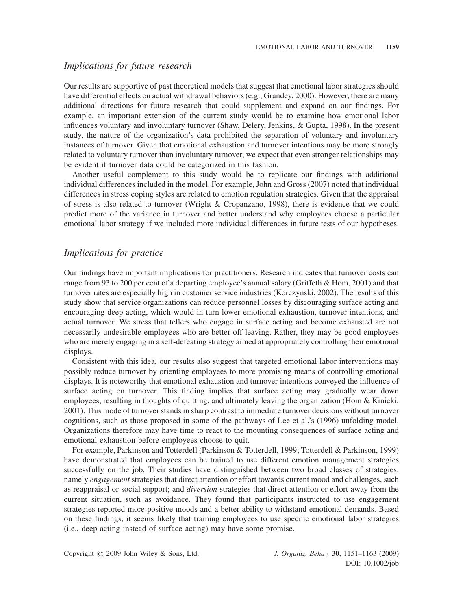# Implications for future research

Our results are supportive of past theoretical models that suggest that emotional labor strategies should have differential effects on actual withdrawal behaviors (e.g., Grandey, 2000). However, there are many additional directions for future research that could supplement and expand on our findings. For example, an important extension of the current study would be to examine how emotional labor influences voluntary and involuntary turnover (Shaw, Delery, Jenkins, & Gupta, 1998). In the present study, the nature of the organization's data prohibited the separation of voluntary and involuntary instances of turnover. Given that emotional exhaustion and turnover intentions may be more strongly related to voluntary turnover than involuntary turnover, we expect that even stronger relationships may be evident if turnover data could be categorized in this fashion.

Another useful complement to this study would be to replicate our findings with additional individual differences included in the model. For example, John and Gross (2007) noted that individual differences in stress coping styles are related to emotion regulation strategies. Given that the appraisal of stress is also related to turnover (Wright & Cropanzano, 1998), there is evidence that we could predict more of the variance in turnover and better understand why employees choose a particular emotional labor strategy if we included more individual differences in future tests of our hypotheses.

#### Implications for practice

Our findings have important implications for practitioners. Research indicates that turnover costs can range from 93 to 200 per cent of a departing employee's annual salary (Griffeth & Hom, 2001) and that turnover rates are especially high in customer service industries (Korczynski, 2002). The results of this study show that service organizations can reduce personnel losses by discouraging surface acting and encouraging deep acting, which would in turn lower emotional exhaustion, turnover intentions, and actual turnover. We stress that tellers who engage in surface acting and become exhausted are not necessarily undesirable employees who are better off leaving. Rather, they may be good employees who are merely engaging in a self-defeating strategy aimed at appropriately controlling their emotional displays.

Consistent with this idea, our results also suggest that targeted emotional labor interventions may possibly reduce turnover by orienting employees to more promising means of controlling emotional displays. It is noteworthy that emotional exhaustion and turnover intentions conveyed the influence of surface acting on turnover. This finding implies that surface acting may gradually wear down employees, resulting in thoughts of quitting, and ultimately leaving the organization (Hom & Kinicki, 2001). This mode of turnover stands in sharp contrast to immediate turnover decisions without turnover cognitions, such as those proposed in some of the pathways of Lee et al.'s (1996) unfolding model. Organizations therefore may have time to react to the mounting consequences of surface acting and emotional exhaustion before employees choose to quit.

For example, Parkinson and Totterdell (Parkinson & Totterdell, 1999; Totterdell & Parkinson, 1999) have demonstrated that employees can be trained to use different emotion management strategies successfully on the job. Their studies have distinguished between two broad classes of strategies, namely *engagement* strategies that direct attention or effort towards current mood and challenges, such as reappraisal or social support; and *diversion* strategies that direct attention or effort away from the current situation, such as avoidance. They found that participants instructed to use engagement strategies reported more positive moods and a better ability to withstand emotional demands. Based on these findings, it seems likely that training employees to use specific emotional labor strategies (i.e., deep acting instead of surface acting) may have some promise.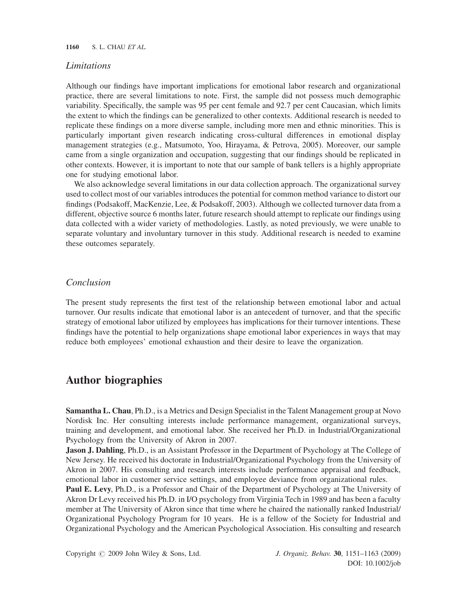## Limitations

Although our findings have important implications for emotional labor research and organizational practice, there are several limitations to note. First, the sample did not possess much demographic variability. Specifically, the sample was 95 per cent female and 92.7 per cent Caucasian, which limits the extent to which the findings can be generalized to other contexts. Additional research is needed to replicate these findings on a more diverse sample, including more men and ethnic minorities. This is particularly important given research indicating cross-cultural differences in emotional display management strategies (e.g., Matsumoto, Yoo, Hirayama, & Petrova, 2005). Moreover, our sample came from a single organization and occupation, suggesting that our findings should be replicated in other contexts. However, it is important to note that our sample of bank tellers is a highly appropriate one for studying emotional labor.

We also acknowledge several limitations in our data collection approach. The organizational survey used to collect most of our variables introduces the potential for common method variance to distort our findings (Podsakoff, MacKenzie, Lee, & Podsakoff, 2003). Although we collected turnover data from a different, objective source 6 months later, future research should attempt to replicate our findings using data collected with a wider variety of methodologies. Lastly, as noted previously, we were unable to separate voluntary and involuntary turnover in this study. Additional research is needed to examine these outcomes separately.

### Conclusion

The present study represents the first test of the relationship between emotional labor and actual turnover. Our results indicate that emotional labor is an antecedent of turnover, and that the specific strategy of emotional labor utilized by employees has implications for their turnover intentions. These findings have the potential to help organizations shape emotional labor experiences in ways that may reduce both employees' emotional exhaustion and their desire to leave the organization.

# Author biographies

Samantha L. Chau, Ph.D., is a Metrics and Design Specialist in the Talent Management group at Novo Nordisk Inc. Her consulting interests include performance management, organizational surveys, training and development, and emotional labor. She received her Ph.D. in Industrial/Organizational Psychology from the University of Akron in 2007.

**Jason J. Dahling**, Ph.D., is an Assistant Professor in the Department of Psychology at The College of New Jersey. He received his doctorate in Industrial/Organizational Psychology from the University of Akron in 2007. His consulting and research interests include performance appraisal and feedback, emotional labor in customer service settings, and employee deviance from organizational rules.

Paul E. Levy, Ph.D., is a Professor and Chair of the Department of Psychology at The University of Akron Dr Levy received his Ph.D. in I/O psychology from Virginia Tech in 1989 and has been a faculty member at The University of Akron since that time where he chaired the nationally ranked Industrial/ Organizational Psychology Program for 10 years. He is a fellow of the Society for Industrial and Organizational Psychology and the American Psychological Association. His consulting and research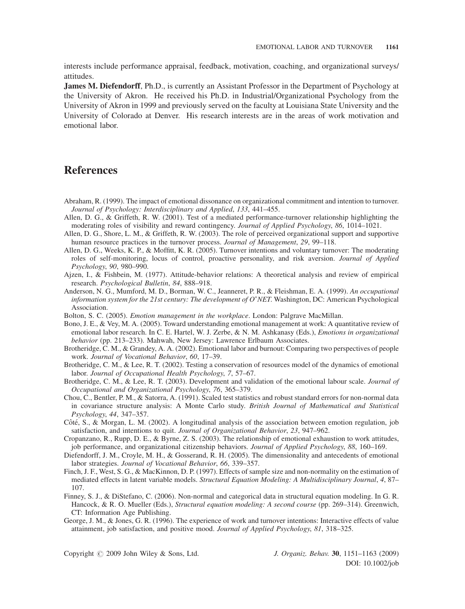interests include performance appraisal, feedback, motivation, coaching, and organizational surveys/ attitudes.

James M. Diefendorff, Ph.D., is currently an Assistant Professor in the Department of Psychology at the University of Akron. He received his Ph.D. in Industrial/Organizational Psychology from the University of Akron in 1999 and previously served on the faculty at Louisiana State University and the University of Colorado at Denver. His research interests are in the areas of work motivation and emotional labor.

# References

- Abraham, R. (1999). The impact of emotional dissonance on organizational commitment and intention to turnover. Journal of Psychology: Interdisciplinary and Applied, 133, 441–455.
- Allen, D. G., & Griffeth, R. W. (2001). Test of a mediated performance-turnover relationship highlighting the moderating roles of visibility and reward contingency. Journal of Applied Psychology, 86, 1014–1021.
- Allen, D. G., Shore, L. M., & Griffeth, R. W. (2003). The role of perceived organizational support and supportive human resource practices in the turnover process. Journal of Management, 29, 99-118.
- Allen, D. G., Weeks, K. P., & Moffitt, K. R. (2005). Turnover intentions and voluntary turnover: The moderating roles of self-monitoring, locus of control, proactive personality, and risk aversion. Journal of Applied Psychology, 90, 980–990.
- Ajzen, I., & Fishbein, M. (1977). Attitude-behavior relations: A theoretical analysis and review of empirical research. Psychological Bulletin, 84, 888–918.
- Anderson, N. G., Mumford, M. D., Borman, W. C., Jeanneret, P. R., & Fleishman, E. A. (1999). An occupational information system for the 21st century: The development of O\*NET. Washington, DC: American Psychological Association.
- Bolton, S. C. (2005). Emotion management in the workplace. London: Palgrave MacMillan.
- Bono, J. E., & Vey, M. A. (2005). Toward understanding emotional management at work: A quantitative review of emotional labor research. In C. E. Hartel, W. J. Zerbe, & N. M. Ashkanasy (Eds.), *Emotions in organizational* behavior (pp. 213–233). Mahwah, New Jersey: Lawrence Erlbaum Associates.
- Brotheridge, C. M., & Grandey, A. A. (2002). Emotional labor and burnout: Comparing two perspectives of people work. Journal of Vocational Behavior, 60, 17–39.
- Brotheridge, C. M., & Lee, R. T. (2002). Testing a conservation of resources model of the dynamics of emotional labor. Journal of Occupational Health Psychology, 7, 57–67.
- Brotheridge, C. M., & Lee, R. T. (2003). Development and validation of the emotional labour scale. Journal of Occupational and Organizational Psychology, 76, 365–379.
- Chou, C., Bentler, P. M., & Satorra, A. (1991). Scaled test statistics and robust standard errors for non-normal data in covariance structure analysis: A Monte Carlo study. British Journal of Mathematical and Statistical Psychology, 44, 347–357.
- Côté, S., & Morgan, L. M. (2002). A longitudinal analysis of the association between emotion regulation, job satisfaction, and intentions to quit. Journal of Organizational Behavior, 23, 947–962.
- Cropanzano, R., Rupp, D. E., & Byrne, Z. S. (2003). The relationship of emotional exhaustion to work attitudes, job performance, and organizational citizenship behaviors. Journal of Applied Psychology, 88, 160–169.
- Diefendorff, J. M., Croyle, M. H., & Gosserand, R. H. (2005). The dimensionality and antecedents of emotional labor strategies. Journal of Vocational Behavior, 66, 339–357.
- Finch, J. F., West, S. G., & MacKinnon, D. P. (1997). Effects of sample size and non-normality on the estimation of mediated effects in latent variable models. Structural Equation Modeling: A Multidisciplinary Journal, 4, 87– 107.
- Finney, S. J., & DiStefano, C. (2006). Non-normal and categorical data in structural equation modeling. In G. R. Hancock, & R. O. Mueller (Eds.), Structural equation modeling: A second course (pp. 269–314). Greenwich, CT: Information Age Publishing.
- George, J. M., & Jones, G. R. (1996). The experience of work and turnover intentions: Interactive effects of value attainment, job satisfaction, and positive mood. Journal of Applied Psychology, 81, 318–325.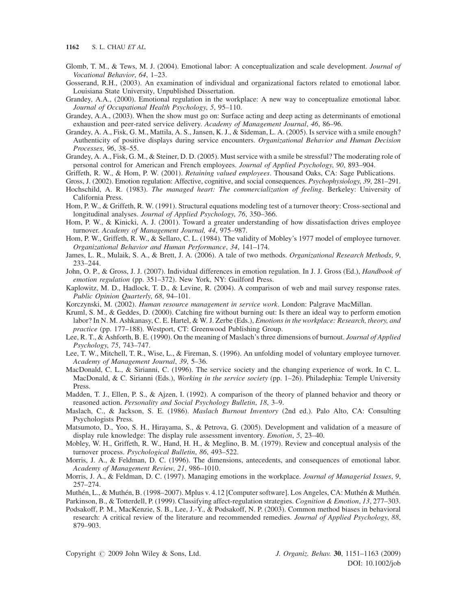- Glomb, T. M., & Tews, M. J. (2004). Emotional labor: A conceptualization and scale development. Journal of Vocational Behavior, 64, 1–23.
- Gosserand, R.H., (2003). An examination of individual and organizational factors related to emotional labor. Louisiana State University, Unpublished Dissertation.
- Grandey, A.A., (2000). Emotional regulation in the workplace: A new way to conceptualize emotional labor. Journal of Occupational Health Psychology, 5, 95–110.
- Grandey, A.A., (2003). When the show must go on: Surface acting and deep acting as determinants of emotional exhaustion and peer-rated service delivery. Academy of Management Journal, 46, 86–96.
- Grandey, A. A., Fisk, G. M., Mattila, A. S., Jansen, K. J., & Sideman, L. A. (2005). Is service with a smile enough? Authenticity of positive displays during service encounters. Organizational Behavior and Human Decision Processes, 96, 38–55.
- Grandey, A. A., Fisk, G. M., & Steiner, D. D. (2005). Must service with a smile be stressful? The moderating role of personal control for American and French employees. Journal of Applied Psychology, 90, 893–904.
- Griffeth, R. W., & Hom, P. W. (2001). Retaining valued employees. Thousand Oaks, CA: Sage Publications.
- Gross, J. (2002). Emotion regulation: Affective, cognitive, and social consequences. Psychophysiology, 39, 281–291.
- Hochschild, A. R. (1983). The managed heart: The commercialization of feeling. Berkeley: University of California Press.
- Hom, P. W., & Griffeth, R. W. (1991). Structural equations modeling test of a turnover theory: Cross-sectional and longitudinal analyses. Journal of Applied Psychology, 76, 350–366.
- Hom, P. W., & Kinicki, A. J. (2001). Toward a greater understanding of how dissatisfaction drives employee turnover. Academy of Management Journal, 44, 975–987.
- Hom, P. W., Griffeth, R. W., & Sellaro, C. L. (1984). The validity of Mobley's 1977 model of employee turnover. Organizational Behavior and Human Performance, 34, 141–174.
- James, L. R., Mulaik, S. A., & Brett, J. A. (2006). A tale of two methods. Organizational Research Methods, 9, 233–244.
- John, O. P., & Gross, J. J. (2007). Individual differences in emotion regulation. In J. J. Gross (Ed.), *Handbook of* emotion regulation (pp. 351–372). New York, NY: Guilford Press.
- Kaplowitz, M. D., Hadlock, T. D., & Levine, R. (2004). A comparison of web and mail survey response rates. Public Opinion Quarterly, 68, 94–101.
- Korczynski, M. (2002). Human resource management in service work. London: Palgrave MacMillan.
- Kruml, S. M., & Geddes, D. (2000). Catching fire without burning out: Is there an ideal way to perform emotion labor? In N. M. Ashkanasy, C. E. Hartel, & W. J. Zerbe (Eds.), *Emotions in the workplace: Research, theory, and* practice (pp. 177–188). Westport, CT: Greenwood Publishing Group.
- Lee, R. T., & Ashforth, B. E. (1990). On the meaning of Maslach's three dimensions of burnout. Journal of Applied Psychology, 75, 743–747.
- Lee, T. W., Mitchell, T. R., Wise, L., & Fireman, S. (1996). An unfolding model of voluntary employee turnover. Academy of Management Journal, 39, 5–36.
- MacDonald, C. L., & Sirianni, C. (1996). The service society and the changing experience of work. In C. L. MacDonald, & C. Sirianni (Eds.), Working in the service society (pp. 1-26). Philadephia: Temple University Press.
- Madden, T. J., Ellen, P. S., & Ajzen, I. (1992). A comparison of the theory of planned behavior and theory or reasoned action. Personality and Social Psychology Bulletin, 18, 3–9.
- Maslach, C., & Jackson, S. E. (1986). Maslach Burnout Inventory (2nd ed.). Palo Alto, CA: Consulting Psychologists Press.
- Matsumoto, D., Yoo, S. H., Hirayama, S., & Petrova, G. (2005). Development and validation of a measure of display rule knowledge: The display rule assessment inventory. Emotion, 5, 23–40.
- Mobley, W. H., Griffeth, R. W., Hand, H. H., & Meglino, B. M. (1979). Review and conceptual analysis of the turnover process. Psychological Bulletin, 86, 493–522.
- Morris, J. A., & Feldman, D. C. (1996). The dimensions, antecedents, and consequences of emotional labor. Academy of Management Review, 21, 986–1010.
- Morris, J. A., & Feldman, D. C. (1997). Managing emotions in the workplace. Journal of Managerial Issues, 9, 257–274.
- Muthén, L., & Muthén, B. (1998–2007). Mplus v. 4.12 [Computer software]. Los Angeles, CA: Muthén & Muthén.
- Parkinson, B., & Totterdell, P. (1999). Classifying affect-regulation strategies. Cognition & Emotion, 13, 277–303.
- Podsakoff, P. M., MacKenzie, S. B., Lee, J.-Y., & Podsakoff, N. P. (2003). Common method biases in behavioral research: A critical review of the literature and recommended remedies. Journal of Applied Psychology, 88, 879–903.